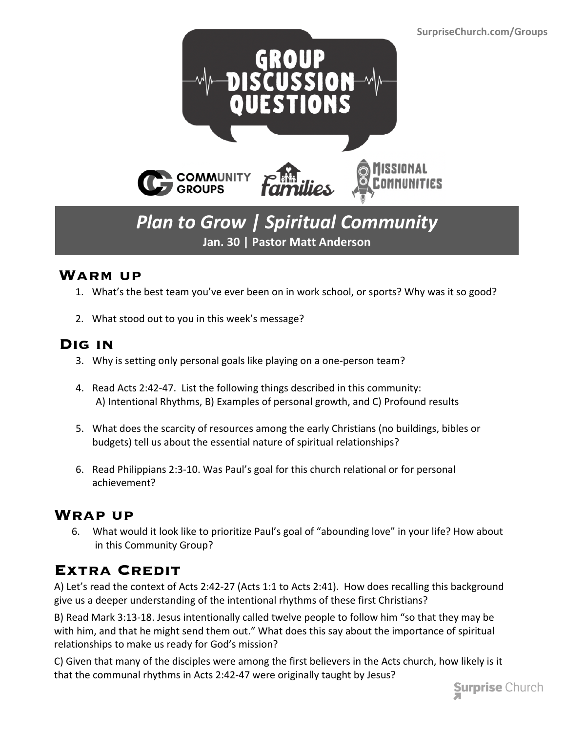

# *Plan to Grow | Spiritual Community* **Jan. 30 | Pastor Matt Anderson**

#### **Warm up**

- 1. What's the best team you've ever been on in work school, or sports? Why was it so good?
- 2. What stood out to you in this week's message?

#### **Dig in**

- 3. Why is setting only personal goals like playing on a one-person team?
- 4. Read Acts 2:42-47. List the following things described in this community: A) Intentional Rhythms, B) Examples of personal growth, and C) Profound results
- 5. What does the scarcity of resources among the early Christians (no buildings, bibles or budgets) tell us about the essential nature of spiritual relationships?
- 6. Read Philippians 2:3-10. Was Paul's goal for this church relational or for personal achievement?

### **Wrap up**

 6. What would it look like to prioritize Paul's goal of "abounding love" in your life? How about in this Community Group?

## **Extra Credit**

A) Let's read the context of Acts 2:42-27 (Acts 1:1 to Acts 2:41). How does recalling this background give us a deeper understanding of the intentional rhythms of these first Christians?

B) Read Mark 3:13-18. Jesus intentionally called twelve people to follow him "so that they may be with him, and that he might send them out." What does this say about the importance of spiritual relationships to make us ready for God's mission?

C) Given that many of the disciples were among the first believers in the Acts church, how likely is it that the communal rhythms in Acts 2:42-47 were originally taught by Jesus?